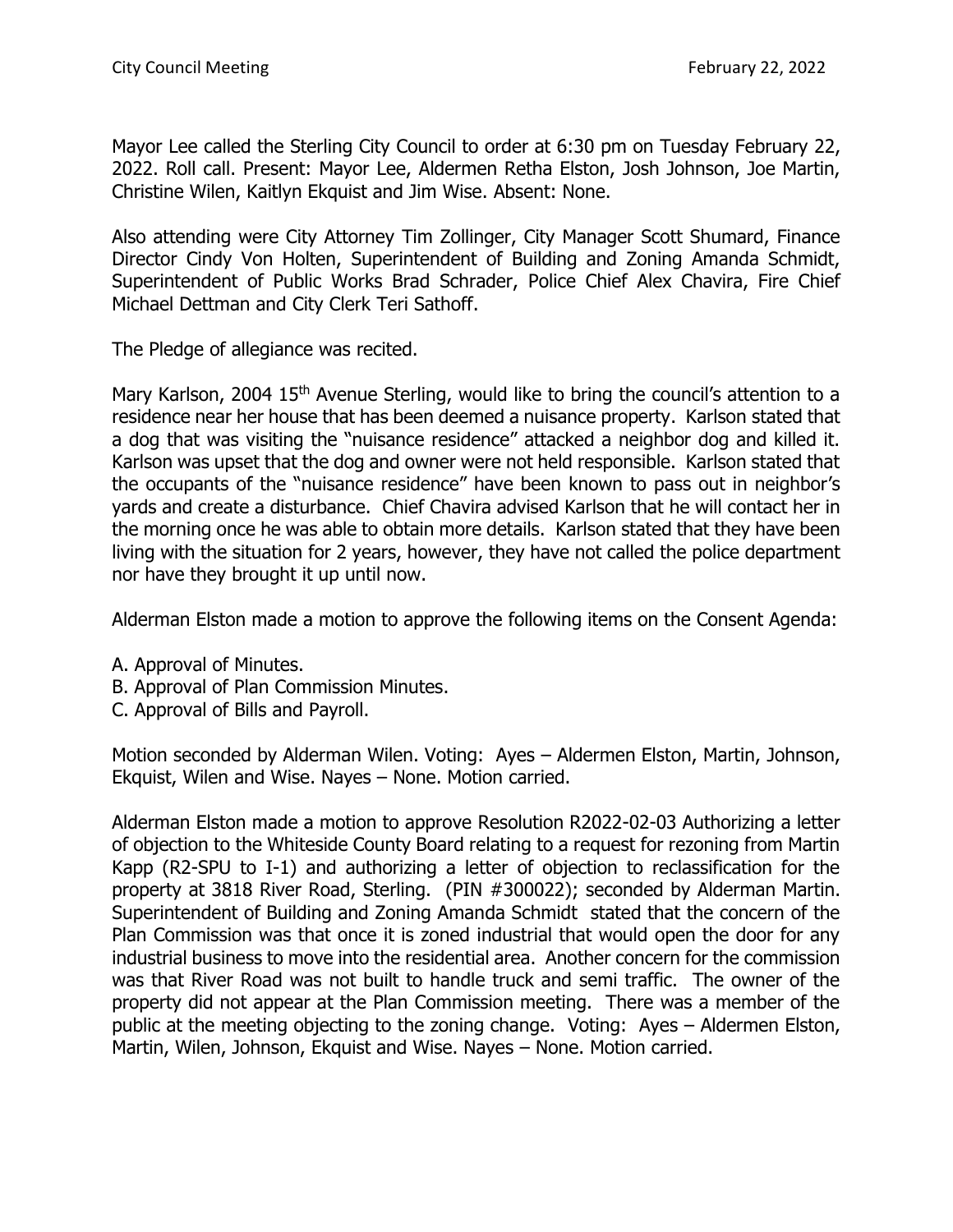Mayor Lee called the Sterling City Council to order at 6:30 pm on Tuesday February 22, 2022. Roll call. Present: Mayor Lee, Aldermen Retha Elston, Josh Johnson, Joe Martin, Christine Wilen, Kaitlyn Ekquist and Jim Wise. Absent: None.

Also attending were City Attorney Tim Zollinger, City Manager Scott Shumard, Finance Director Cindy Von Holten, Superintendent of Building and Zoning Amanda Schmidt, Superintendent of Public Works Brad Schrader, Police Chief Alex Chavira, Fire Chief Michael Dettman and City Clerk Teri Sathoff.

The Pledge of allegiance was recited.

Mary Karlson, 2004 15<sup>th</sup> Avenue Sterling, would like to bring the council's attention to a residence near her house that has been deemed a nuisance property. Karlson stated that a dog that was visiting the "nuisance residence" attacked a neighbor dog and killed it. Karlson was upset that the dog and owner were not held responsible. Karlson stated that the occupants of the "nuisance residence" have been known to pass out in neighbor's yards and create a disturbance. Chief Chavira advised Karlson that he will contact her in the morning once he was able to obtain more details. Karlson stated that they have been living with the situation for 2 years, however, they have not called the police department nor have they brought it up until now.

Alderman Elston made a motion to approve the following items on the Consent Agenda:

- A. Approval of Minutes.
- B. Approval of Plan Commission Minutes.
- C. Approval of Bills and Payroll.

Motion seconded by Alderman Wilen. Voting: Ayes – Aldermen Elston, Martin, Johnson, Ekquist, Wilen and Wise. Nayes – None. Motion carried.

Alderman Elston made a motion to approve Resolution R2022-02-03 Authorizing a letter of objection to the Whiteside County Board relating to a request for rezoning from Martin Kapp (R2-SPU to I-1) and authorizing a letter of objection to reclassification for the property at 3818 River Road, Sterling. (PIN #300022); seconded by Alderman Martin. Superintendent of Building and Zoning Amanda Schmidt stated that the concern of the Plan Commission was that once it is zoned industrial that would open the door for any industrial business to move into the residential area. Another concern for the commission was that River Road was not built to handle truck and semi traffic. The owner of the property did not appear at the Plan Commission meeting. There was a member of the public at the meeting objecting to the zoning change. Voting: Ayes – Aldermen Elston, Martin, Wilen, Johnson, Ekquist and Wise. Nayes – None. Motion carried.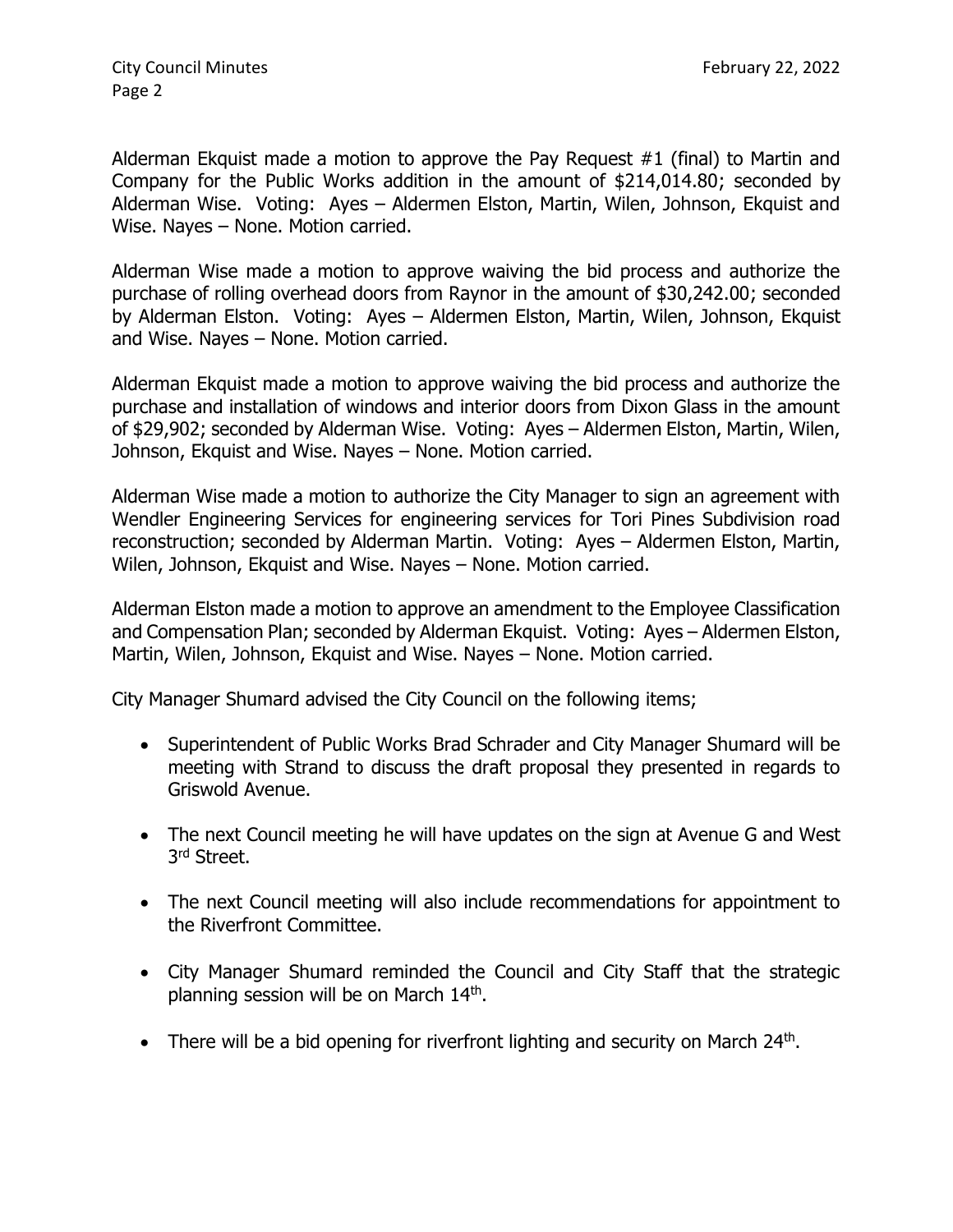Alderman Ekquist made a motion to approve the Pay Request #1 (final) to Martin and Company for the Public Works addition in the amount of \$214,014.80; seconded by Alderman Wise. Voting: Ayes – Aldermen Elston, Martin, Wilen, Johnson, Ekquist and Wise. Nayes – None. Motion carried.

Alderman Wise made a motion to approve waiving the bid process and authorize the purchase of rolling overhead doors from Raynor in the amount of \$30,242.00; seconded by Alderman Elston. Voting: Ayes – Aldermen Elston, Martin, Wilen, Johnson, Ekquist and Wise. Nayes – None. Motion carried.

Alderman Ekquist made a motion to approve waiving the bid process and authorize the purchase and installation of windows and interior doors from Dixon Glass in the amount of \$29,902; seconded by Alderman Wise. Voting: Ayes – Aldermen Elston, Martin, Wilen, Johnson, Ekquist and Wise. Nayes – None. Motion carried.

Alderman Wise made a motion to authorize the City Manager to sign an agreement with Wendler Engineering Services for engineering services for Tori Pines Subdivision road reconstruction; seconded by Alderman Martin. Voting: Ayes – Aldermen Elston, Martin, Wilen, Johnson, Ekquist and Wise. Nayes – None. Motion carried.

Alderman Elston made a motion to approve an amendment to the Employee Classification and Compensation Plan; seconded by Alderman Ekquist. Voting: Ayes – Aldermen Elston, Martin, Wilen, Johnson, Ekquist and Wise. Nayes – None. Motion carried.

City Manager Shumard advised the City Council on the following items;

- Superintendent of Public Works Brad Schrader and City Manager Shumard will be meeting with Strand to discuss the draft proposal they presented in regards to Griswold Avenue.
- The next Council meeting he will have updates on the sign at Avenue G and West 3<sup>rd</sup> Street.
- The next Council meeting will also include recommendations for appointment to the Riverfront Committee.
- City Manager Shumard reminded the Council and City Staff that the strategic planning session will be on March 14<sup>th</sup>.
- There will be a bid opening for riverfront lighting and security on March  $24<sup>th</sup>$ .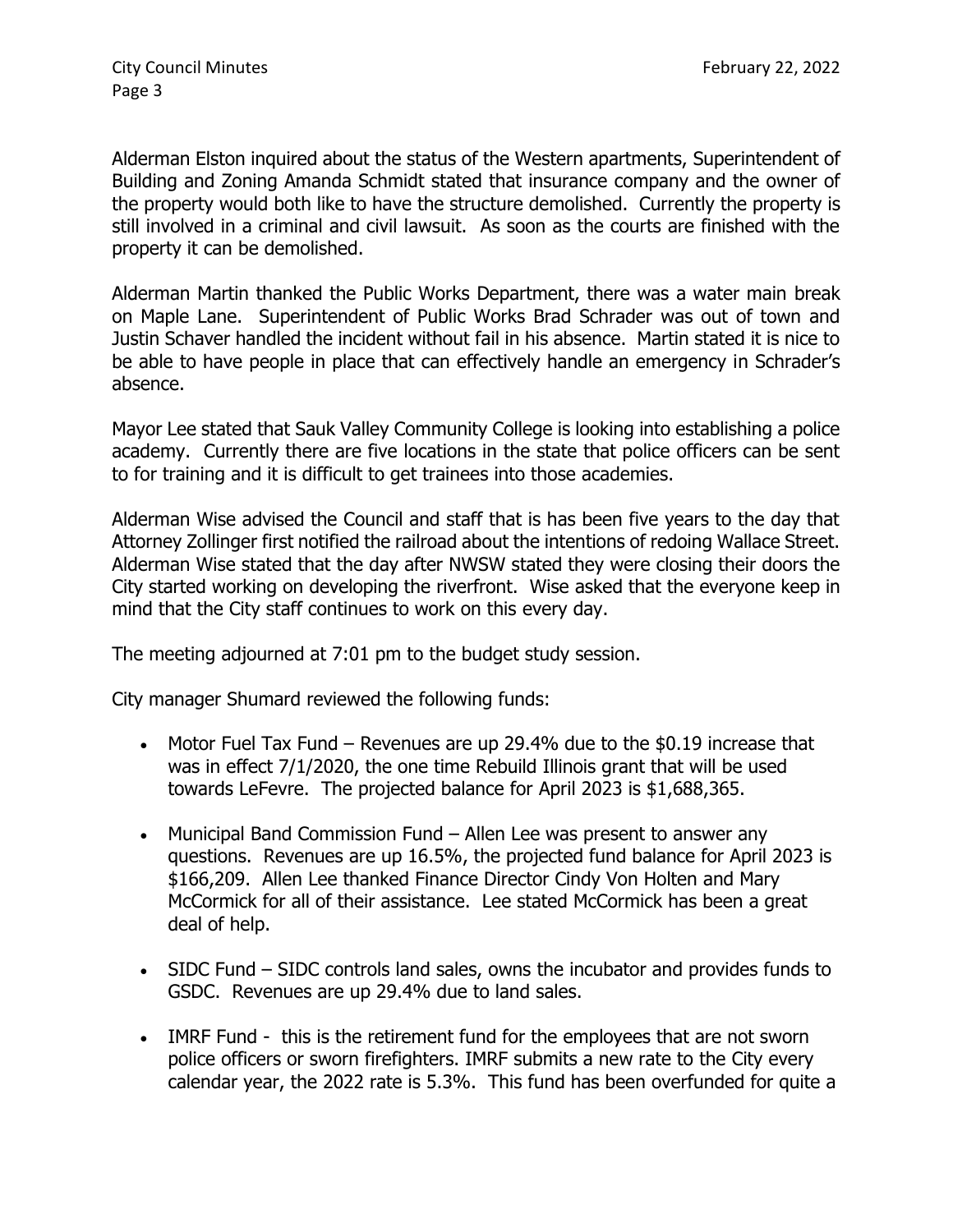Alderman Elston inquired about the status of the Western apartments, Superintendent of Building and Zoning Amanda Schmidt stated that insurance company and the owner of the property would both like to have the structure demolished. Currently the property is still involved in a criminal and civil lawsuit. As soon as the courts are finished with the property it can be demolished.

Alderman Martin thanked the Public Works Department, there was a water main break on Maple Lane. Superintendent of Public Works Brad Schrader was out of town and Justin Schaver handled the incident without fail in his absence. Martin stated it is nice to be able to have people in place that can effectively handle an emergency in Schrader's absence.

Mayor Lee stated that Sauk Valley Community College is looking into establishing a police academy. Currently there are five locations in the state that police officers can be sent to for training and it is difficult to get trainees into those academies.

Alderman Wise advised the Council and staff that is has been five years to the day that Attorney Zollinger first notified the railroad about the intentions of redoing Wallace Street. Alderman Wise stated that the day after NWSW stated they were closing their doors the City started working on developing the riverfront. Wise asked that the everyone keep in mind that the City staff continues to work on this every day.

The meeting adjourned at 7:01 pm to the budget study session.

City manager Shumard reviewed the following funds:

- Motor Fuel Tax Fund Revenues are up 29.4% due to the \$0.19 increase that was in effect 7/1/2020, the one time Rebuild Illinois grant that will be used towards LeFevre. The projected balance for April 2023 is \$1,688,365.
- Municipal Band Commission Fund Allen Lee was present to answer any questions. Revenues are up 16.5%, the projected fund balance for April 2023 is \$166,209. Allen Lee thanked Finance Director Cindy Von Holten and Mary McCormick for all of their assistance. Lee stated McCormick has been a great deal of help.
- SIDC Fund SIDC controls land sales, owns the incubator and provides funds to GSDC. Revenues are up 29.4% due to land sales.
- IMRF Fund this is the retirement fund for the employees that are not sworn police officers or sworn firefighters. IMRF submits a new rate to the City every calendar year, the 2022 rate is 5.3%. This fund has been overfunded for quite a